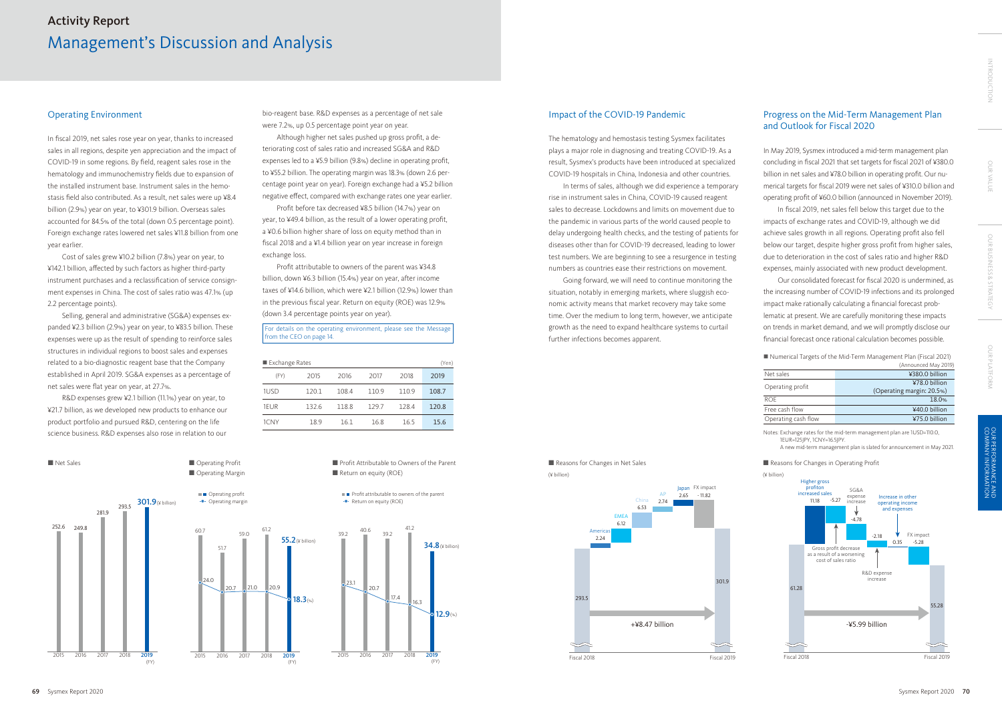## Operating Environment

In fiscal 2019, net sales rose year on year, thanks to increased sales in all regions, despite yen appreciation and the impact of COVID-19 in some regions. By field, reagent sales rose in the hematology and immunochemistry fields due to expansion of the installed instrument base. Instrument sales in the hemostasis field also contributed. As a result, net sales were up ¥8.4 billion (2.9%) year on year, to ¥301.9 billion. Overseas sales accounted for 84.5% of the total (down 0.5 percentage point). Foreign exchange rates lowered net sales ¥11.8 billion from one year earlier.

Cost of sales grew ¥10.2 billion (7.8%) year on year, to ¥142.1 billion, affected by such factors as higher third-party instrument purchases and a reclassification of service consignment expenses in China. The cost of sales ratio was 47.1% (up 2.2 percentage points).

Selling, general and administrative (SG&A) expenses expanded ¥2.3 billion (2.9%) year on year, to ¥83.5 billion. These expenses were up as the result of spending to reinforce sales structures in individual regions to boost sales and expenses related to a bio-diagnostic reagent base that the Company established in April 2019. SG&A expenses as a percentage of net sales were flat year on year, at 27.7%.

R&D expenses grew ¥2.1 billion (11.1%) year on year, to ¥21.7 billion, as we developed new products to enhance our product portfolio and pursued R&D, centering on the life science business. R&D expenses also rose in relation to our

bio-reagent base. R&D expenses as a percentage of net sale were 7.2%, up 0.5 percentage point year on year.

Although higher net sales pushed up gross profit, a deteriorating cost of sales ratio and increased SG&A and R&D expenses led to a ¥5.9 billion (9.8%) decline in operating profit, to ¥55.2 billion. The operating margin was 18.3% (down 2.6 percentage point year on year). Foreign exchange had a ¥5.2 billion negative effect, compared with exchange rates one year earlier.

Profit before tax decreased ¥8.5 billion (14.7%) year on year, to ¥49.4 billion, as the result of a lower operating profit, a ¥0.6 billion higher share of loss on equity method than in fiscal 2018 and a ¥1.4 billion year on year increase in foreign exchange loss.

Profit attributable to owners of the parent was ¥34.8 billion, down ¥6.3 billion (15.4%) year on year, after income taxes of ¥14.6 billion, which were ¥2.1 billion (12.9%) lower than in the previous fiscal year. Return on equity (ROE) was 12.9% (down 3.4 percentage points year on year).

| Exchange Rates |       |       |       |       | (Yen) |
|----------------|-------|-------|-------|-------|-------|
| (FY)           | 2015  | 2016  | 2017  | 2018  | 2019  |
| 1USD           | 120.1 | 108.4 | 110.9 | 110.9 | 108.7 |
| 1EUR           | 132.6 | 118.8 | 129.7 | 128.4 | 120.8 |
| 1CNY           | 18.9  | 16.1  | 16.8  | 16.5  | 15.6  |



(¥ billion)





![](_page_0_Figure_31.jpeg)

![](_page_0_Figure_32.jpeg)

## Impact of the COVID-19 Pandemic

The hematology and hemostasis testing Sysmex facilitates plays a major role in diagnosing and treating COVID-19. As a result, Sysmex's products have been introduced at specialized COVID-19 hospitals in China, Indonesia and other countries.

In terms of sales, although we did experience a temporary rise in instrument sales in China, COVID-19 caused reagent sales to decrease. Lockdowns and limits on movement due to the pandemic in various parts of the world caused people to delay undergoing health checks, and the testing of patients for diseases other than for COVID-19 decreased, leading to lower test numbers. We are beginning to see a resurgence in testing numbers as countries ease their restrictions on movement.

Going forward, we will need to continue monitoring the situation, notably in emerging markets, where sluggish economic activity means that market recovery may take some time. Over the medium to long term, however, we anticipate growth as the need to expand healthcare systems to curtail further infections becomes apparent.

# Progress on the Mid-Term Management Plan and Outlook for Fiscal 2020

In May 2019, Sysmex introduced a mid-term management plan concluding in fiscal 2021 that set targets for fiscal 2021 of ¥380.0 billion in net sales and ¥78.0 billion in operating profit. Our numerical targets for fiscal 2019 were net sales of ¥310.0 billion and operating profit of ¥60.0 billion (announced in November 2019).

In fiscal 2019, net sales fell below this target due to the impacts of exchange rates and COVID-19, although we did achieve sales growth in all regions. Operating profit also fell below our target, despite higher gross profit from higher sales, due to deterioration in the cost of sales ratio and higher R&D expenses, mainly associated with new product development.

Our consolidated forecast for fiscal 2020 is undermined, as the increasing number of COVID-19 infections and its prolonged impact make rationally calculating a financial forecast problematic at present. We are carefully monitoring these impacts on trends in market demand, and we will promptly disclose our financial forecast once rational calculation becomes possible.

■ Numerical Targets of the Mid-Term Management Plan (Fiscal 2021)

|                     | (Announced May 2019)                       |
|---------------------|--------------------------------------------|
| Net sales           | ¥380.0 billion                             |
| Operating profit    | ¥78.0 billion<br>(Operating margin: 20.5%) |
| ROF                 | 18.0%                                      |
| Free cash flow      | ¥40.0 billion                              |
| Operating cash flow | ¥75.0 billion                              |

Notes: Exchange rates for the mid-term management plan are 1USD=110.0, 1EUR=125JPY, 1CNY=16.5JPY.

A new mid-term management plan is slated for announcement in May 2021.

#### Reasons for Changes in Operating Profit

# Management's Discussion and Analysis Activity Report

For details on the operating environment, please see the Message from the CEO on page 14.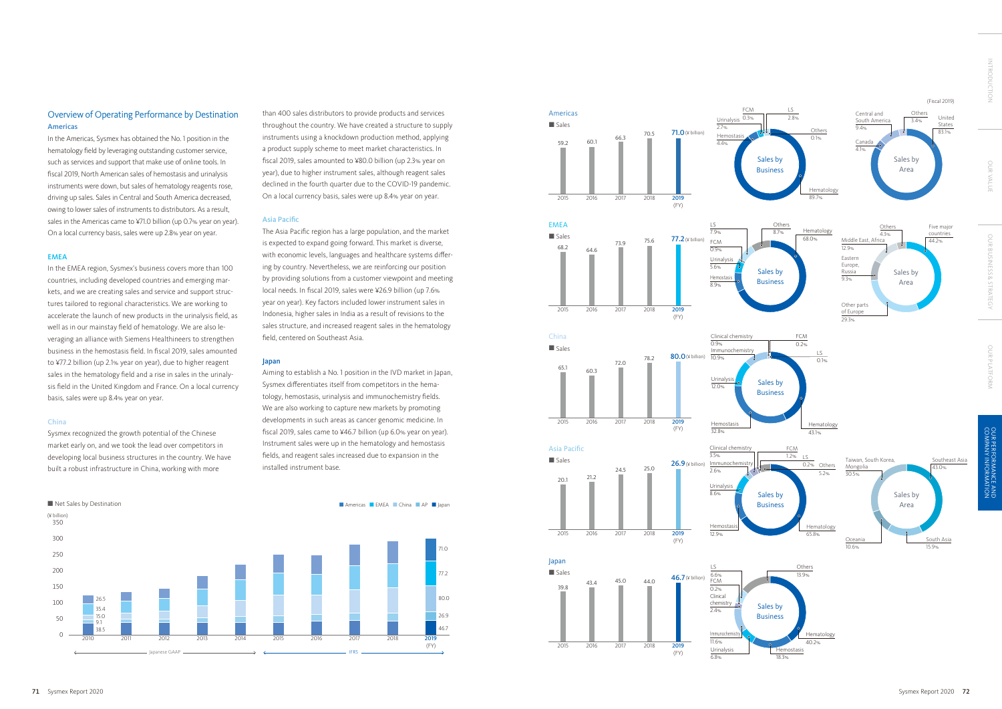# Overview of Operating Performance by Destination Americas

In the Americas, Sysmex has obtained the No. 1 position in the hematology field by leveraging outstanding customer service, such as services and support that make use of online tools. In fiscal 2019, North American sales of hemostasis and urinalysis instruments were down, but sales of hematology reagents rose, driving up sales. Sales in Central and South America decreased, owing to lower sales of instruments to distributors. As a result, sales in the Americas came to ¥71.0 billion (up 0.7% year on year). On a local currency basis, sales were up 2.8% year on year.

### EMEA

In the EMEA region, Sysmex's business covers more than 100 countries, including developed countries and emerging markets, and we are creating sales and service and support structures tailored to regional characteristics. We are working to accelerate the launch of new products in the urinalysis field, as well as in our mainstay field of hematology. We are also leveraging an alliance with Siemens Healthineers to strengthen business in the hemostasis field. In fiscal 2019, sales amounted to ¥77.2 billion (up 2.1% year on year), due to higher reagent sales in the hematology field and a rise in sales in the urinalysis field in the United Kingdom and France. On a local currency basis, sales were up 8.4% year on year.

### China

Sysmex recognized the growth potential of the Chinese market early on, and we took the lead over competitors in developing local business structures in the country. We have built a robust infrastructure in China, working with more

than 400 sales distributors to provide products and services throughout the country. We have created a structure to supply instruments using a knockdown production method, applying a product supply scheme to meet market characteristics. In fiscal 2019, sales amounted to ¥80.0 billion (up 2.3% year on year), due to higher instrument sales, although reagent sales declined in the fourth quarter due to the COVID-19 pandemic. On a local currency basis, sales were up 8.4% year on year.

## Asia Pacific

The Asia Pacific region has a large population, and the market is expected to expand going forward. This market is diverse, with economic levels, languages and healthcare systems differing by country. Nevertheless, we are reinforcing our position by providing solutions from a customer viewpoint and meeting local needs. In fiscal 2019, sales were ¥26.9 billion (up 7.6% year on year). Key factors included lower instrument sales in Indonesia, higher sales in India as a result of revisions to the sales structure, and increased reagent sales in the hematology field, centered on Southeast Asia.

## Japan

Aiming to establish a No. 1 position in the IVD market in Japan, Sysmex differentiates itself from competitors in the hematology, hemostasis, urinalysis and immunochemistry fields. We are also working to capture new markets by promoting developments in such areas as cancer genomic medicine. In fiscal 2019, sales came to ¥46.7 billion (up 6.0% year on year). Instrument sales were up in the hematology and hemostasis fields, and reagent sales increased due to expansion in the installed instrument base.

![](_page_1_Figure_11.jpeg)

Net Sales by Destination **Americas Contact and Sales by Destination Americas Contact Americas China Ap China AP I** 

![](_page_1_Figure_12.jpeg)

OUR VALUE

**OUR VALU** 

**INTRODUCTION**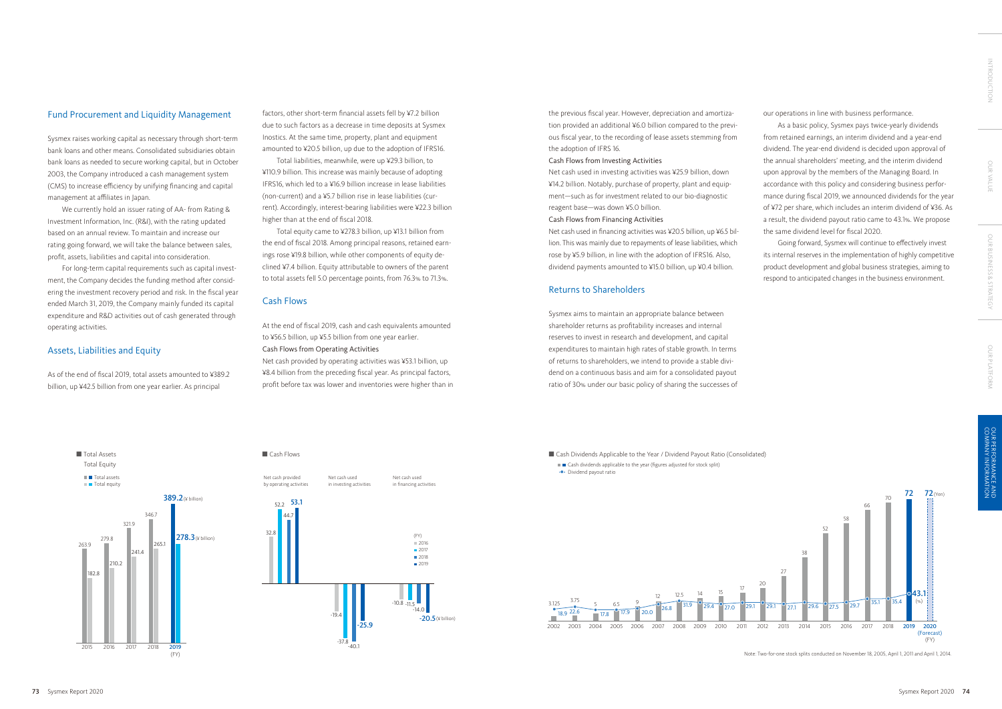## Fund Procurement and Liquidity Management

Sysmex raises working capital as necessary through short-term bank loans and other means. Consolidated subsidiaries obtain bank loans as needed to secure working capital, but in October 2003, the Company introduced a cash management system (CMS) to increase efficiency by unifying financing and capital management at affiliates in Japan.

We currently hold an issuer rating of AA- from Rating & Investment Information, Inc. (R&I), with the rating updated based on an annual review. To maintain and increase our rating going forward, we will take the balance between sales, profit, assets, liabilities and capital into consideration.

For long-term capital requirements such as capital investment, the Company decides the funding method after considering the investment recovery period and risk. In the fiscal year ended March 31, 2019, the Company mainly funded its capital expenditure and R&D activities out of cash generated through operating activities.

## Assets, Liabilities and Equity

As of the end of fiscal 2019, total assets amounted to ¥389.2 billion, up ¥42.5 billion from one year earlier. As principal

factors, other short-term financial assets fell by ¥7.2 billion due to such factors as a decrease in time deposits at Sysmex Inostics. At the same time, property, plant and equipment amounted to ¥20.5 billion, up due to the adoption of IFRS16.

Total liabilities, meanwhile, were up ¥29.3 billion, to ¥110.9 billion. This increase was mainly because of adopting IFRS16, which led to a ¥16.9 billion increase in lease liabilities (non-current) and a ¥5.7 billion rise in lease liabilities (current). Accordingly, interest-bearing liabilities were ¥22.3 billion higher than at the end of fiscal 2018.

Total equity came to ¥278.3 billion, up ¥13.1 billion from the end of fiscal 2018. Among principal reasons, retained earnings rose ¥19.8 billion, while other components of equity declined ¥7.4 billion. Equity attributable to owners of the parent to total assets fell 5.0 percentage points, from 76.3% to 71.3%.

## Cash Flows

At the end of fiscal 2019, cash and cash equivalents amounted to ¥56.5 billion, up ¥5.5 billion from one year earlier. Cash Flows from Operating Activities

Net cash provided by operating activities was ¥53.1 billion, up ¥8.4 billion from the preceding fiscal year. As principal factors, profit before tax was lower and inventories were higher than in

> 2002 2003 2004 2005 2006 2007 2008 2009 2010 2011 2012 2013 2014 2015 2016 2017 2018 2019 31.9 29.4 27.0 29.1 29.1 29.6 27.5 29.7 27.1 3.125 3.75 <sup>5</sup> 6.5 <sup>9</sup> <sup>12</sup> 12.5 <sup>14</sup> <sup>15</sup> 17 26.8 18.9 <sup>22.6</sup> 17.8 17.9 20.0

the previous fiscal year. However, depreciation and amortization provided an additional ¥6.0 billion compared to the previous fiscal year, to the recording of lease assets stemming from the adoption of IFRS 16.

■■ Cash dividends applicable to the year (figures adjusted for stock split) Dividend payout ratio

## Cash Flows from Investing Activities

OUR VALUI OUR VALUE

Net cash used in investing activities was ¥25.9 billion, down ¥14.2 billion. Notably, purchase of property, plant and equipment—such as for investment related to our bio-diagnostic reagent base—was down ¥5.0 billion.

### Cash Flows from Financing Activities

Net cash used in financing activities was ¥20.5 billion, up ¥6.5 billion. This was mainly due to repayments of lease liabilities, which rose by ¥5.9 billion, in line with the adoption of IFRS16. Also, dividend payments amounted to ¥15.0 billion, up ¥0.4 billion.

## Returns to Shareholders

Sysmex aims to maintain an appropriate balance between shareholder returns as profitability increases and internal reserves to invest in research and development, and capital expenditures to maintain high rates of stable growth. In terms of returns to shareholders, we intend to provide a stable dividend on a continuous basis and aim for a consolidated payout ratio of 30% under our basic policy of sharing the successes of our operations in line with business performance.

As a basic policy, Sysmex pays twice-yearly dividends from retained earnings, an interim dividend and a year-end dividend. The year-end dividend is decided upon approval of the annual shareholders' meeting, and the interim dividend upon approval by the members of the Managing Board. In accordance with this policy and considering business performance during fiscal 2019, we announced dividends for the year of ¥72 per share, which includes an interim dividend of ¥36. As a result, the dividend payout ratio came to 43.1%. We propose the same dividend level for fiscal 2020.

Going forward, Sysmex will continue to effectively invest its internal reserves in the implementation of highly competitive product development and global business strategies, aiming to respond to anticipated changes in the business environment.

## Cash Dividends Applicable to the Year / Dividend Payout Ratio (Consolidated)

Note: Two-for-one stock splits conducted on November 18, 2005, April 1, 2011 and April 1, 2014.

![](_page_2_Figure_34.jpeg)

![](_page_2_Figure_19.jpeg)

![](_page_2_Figure_20.jpeg)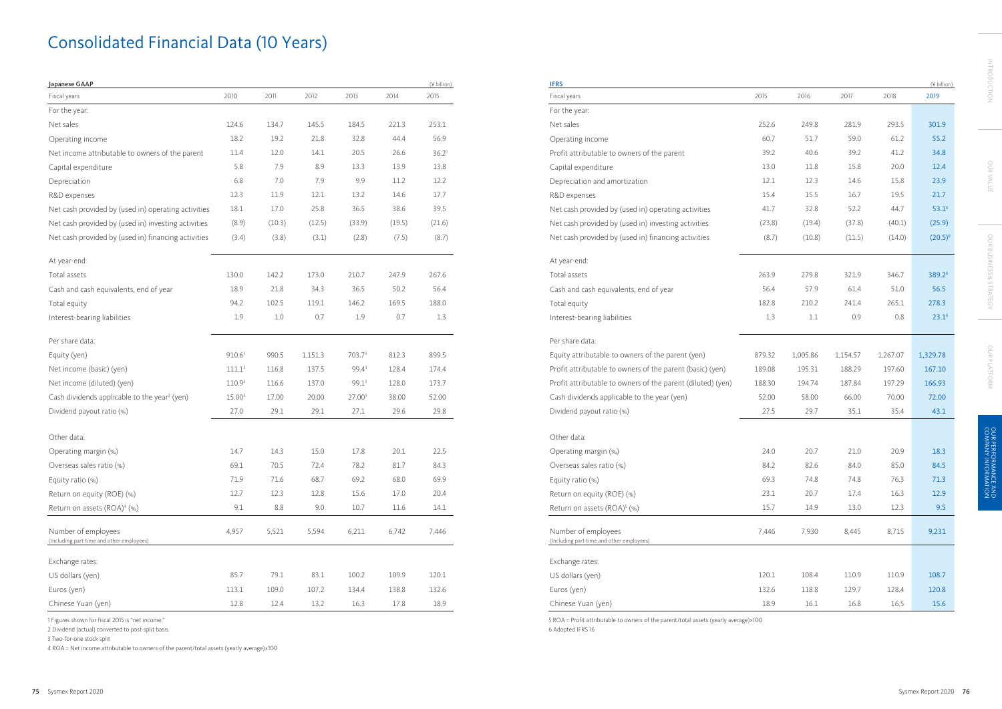| 2010<br>Fiscal years<br>2011<br>2012<br>2013<br>2014<br>2015<br>Fiscal years<br>For the year:<br>For the year:<br>124.6<br>134.7<br>145.5<br>184.5<br>253.1<br>Net sales<br>221.3<br>Net sales<br>18.2<br>19.2<br>32.8<br>56.9<br>Operating income<br>21.8<br>44.4<br>Operating income<br>12.0<br>20.5<br>Net income attributable to owners of the parent<br>11.4<br>14.1<br>26.6<br>36.2 <sup>1</sup><br>Profit attributable to ow<br>7.9<br>13.8<br>Capital expenditure<br>Capital expenditure<br>5.8<br>8.9<br>13.3<br>13.9<br>9.9<br>Depreciation<br>6.8<br>7.0<br>7.9<br>11.2<br>12.2<br>Depreciation and amort<br>R&D expenses<br>12.3<br>11.9<br>12.1<br>13.2<br>14.6<br>17.7<br>R&D expenses<br>Net cash provided by (used in) operating activities<br>36.5<br>39.5<br>Net cash provided by (u<br>18.1<br>17.0<br>25.8<br>38.6<br>Net cash provided by (used in) investing activities<br>(8.9)<br>Net cash provided by (u<br>(10.3)<br>(12.5)<br>(33.9)<br>(19.5)<br>(21.6)<br>Net cash provided by (used in) financing activities<br>(3.8)<br>(2.8)<br>(7.5)<br>(8.7)<br>Net cash provided by (u<br>(3.4)<br>(3.1)<br>At year-end:<br>At year-end:<br>Total assets<br>130.0<br>142.2<br>173.0<br>210.7<br>247.9<br>267.6<br>Total assets<br>Cash and cash equivalents, end of year<br>18.9<br>36.5<br>50.2<br>56.4<br>Cash and cash equivaler<br>21.8<br>34.3<br>94.2<br>146.2<br>188.0<br>Total equity<br>Total equity<br>102.5<br>119.1<br>169.5<br>$1.0\,$<br>0.7<br>1.9<br>0.7<br>1.3<br>Interest-bearing liabilities<br>1.9<br>Interest-bearing liabilitie<br>Per share data:<br>Per share data:<br>910.6 <sup>3</sup><br>990.5<br>1,151.3<br>703.73<br>812.3<br>899.5<br>Equity (yen)<br>Equity attributable to ov<br>Net income (basic) (yen)<br>99.4 <sup>3</sup><br>Profit attributable to ow<br>$111.1^3$<br>116.8<br>137.5<br>128.4<br>174.4<br>99.1 <sup>3</sup><br>173.7<br>Profit attributable to ow<br>Net income (diluted) (yen)<br>110.9 <sup>3</sup><br>116.6<br>137.0<br>128.0<br>Cash dividends applicable to the year <sup>2</sup> (yen)<br>15.00 <sup>3</sup><br>27.003<br>52.00<br>17.00<br>20.00<br>38.00<br>Cash dividends applicab<br>27.0<br>29.1<br>27.1<br>29.8<br>Dividend payout ratio (%)<br>29.1<br>29.6<br>Dividend payout ratio (%<br>Other data:<br>Other data:<br>14.7<br>14.3<br>17.8<br>22.5<br>15.0<br>20.1<br>Operating margin (%)<br>Operating margin (%)<br>69.1<br>70.5<br>72.4<br>78.2<br>81.7<br>84.3<br>Overseas sales ratio (%)<br>Overseas sales ratio (%)<br>71.9<br>71.6<br>68.7<br>69.2<br>68.0<br>69.9<br>Equity ratio (%)<br>Equity ratio (%)<br>Return on equity (ROE) (%)<br>20.4<br>12.7<br>12.3<br>12.8<br>15.6<br>17.0<br>Return on equity (ROE)<br>$8.8\,$<br>9.1<br>9.0<br>10.7<br>14.1<br>Return on assets (ROA) <sup>4</sup> (%)<br>11.6<br>Return on assets (ROA) <sup>5</sup><br>Number of employees<br>4,957<br>5,521<br>5,594<br>6,211<br>Number of employees<br>6,742<br>7,446<br>(Including part-time and other employees)<br>(Including part-time and other er<br>Exchange rates:<br>Exchange rates:<br>US dollars (yen)<br>85.7<br>79.1<br>83.1<br>100.2<br>109.9<br>120.1<br>US dollars (yen)<br>Euros (yen)<br>113.1<br>109.0<br>107.2<br>138.8<br>132.6<br>Euros (yen)<br>134.4<br>Chinese Yuan (yen)<br>12.8<br>18.9<br>Chinese Yuan (yen)<br>12.4<br>13.2<br>16.3<br>17.8 | Japanese GAAP |  |  | (¥ billion) | <b>IFRS</b> |
|----------------------------------------------------------------------------------------------------------------------------------------------------------------------------------------------------------------------------------------------------------------------------------------------------------------------------------------------------------------------------------------------------------------------------------------------------------------------------------------------------------------------------------------------------------------------------------------------------------------------------------------------------------------------------------------------------------------------------------------------------------------------------------------------------------------------------------------------------------------------------------------------------------------------------------------------------------------------------------------------------------------------------------------------------------------------------------------------------------------------------------------------------------------------------------------------------------------------------------------------------------------------------------------------------------------------------------------------------------------------------------------------------------------------------------------------------------------------------------------------------------------------------------------------------------------------------------------------------------------------------------------------------------------------------------------------------------------------------------------------------------------------------------------------------------------------------------------------------------------------------------------------------------------------------------------------------------------------------------------------------------------------------------------------------------------------------------------------------------------------------------------------------------------------------------------------------------------------------------------------------------------------------------------------------------------------------------------------------------------------------------------------------------------------------------------------------------------------------------------------------------------------------------------------------------------------------------------------------------------------------------------------------------------------------------------------------------------------------------------------------------------------------------------------------------------------------------------------------------------------------------------------------------------------------------------------------------------------------------------------------------------------------------------------------------------------------------------------------------------------------------------------------------------------------------------------------------------------------------------------------------------------------------------------------------------------------------------------------------------|---------------|--|--|-------------|-------------|
|                                                                                                                                                                                                                                                                                                                                                                                                                                                                                                                                                                                                                                                                                                                                                                                                                                                                                                                                                                                                                                                                                                                                                                                                                                                                                                                                                                                                                                                                                                                                                                                                                                                                                                                                                                                                                                                                                                                                                                                                                                                                                                                                                                                                                                                                                                                                                                                                                                                                                                                                                                                                                                                                                                                                                                                                                                                                                                                                                                                                                                                                                                                                                                                                                                                                                                                                                                |               |  |  |             |             |
|                                                                                                                                                                                                                                                                                                                                                                                                                                                                                                                                                                                                                                                                                                                                                                                                                                                                                                                                                                                                                                                                                                                                                                                                                                                                                                                                                                                                                                                                                                                                                                                                                                                                                                                                                                                                                                                                                                                                                                                                                                                                                                                                                                                                                                                                                                                                                                                                                                                                                                                                                                                                                                                                                                                                                                                                                                                                                                                                                                                                                                                                                                                                                                                                                                                                                                                                                                |               |  |  |             |             |
|                                                                                                                                                                                                                                                                                                                                                                                                                                                                                                                                                                                                                                                                                                                                                                                                                                                                                                                                                                                                                                                                                                                                                                                                                                                                                                                                                                                                                                                                                                                                                                                                                                                                                                                                                                                                                                                                                                                                                                                                                                                                                                                                                                                                                                                                                                                                                                                                                                                                                                                                                                                                                                                                                                                                                                                                                                                                                                                                                                                                                                                                                                                                                                                                                                                                                                                                                                |               |  |  |             |             |
|                                                                                                                                                                                                                                                                                                                                                                                                                                                                                                                                                                                                                                                                                                                                                                                                                                                                                                                                                                                                                                                                                                                                                                                                                                                                                                                                                                                                                                                                                                                                                                                                                                                                                                                                                                                                                                                                                                                                                                                                                                                                                                                                                                                                                                                                                                                                                                                                                                                                                                                                                                                                                                                                                                                                                                                                                                                                                                                                                                                                                                                                                                                                                                                                                                                                                                                                                                |               |  |  |             |             |
|                                                                                                                                                                                                                                                                                                                                                                                                                                                                                                                                                                                                                                                                                                                                                                                                                                                                                                                                                                                                                                                                                                                                                                                                                                                                                                                                                                                                                                                                                                                                                                                                                                                                                                                                                                                                                                                                                                                                                                                                                                                                                                                                                                                                                                                                                                                                                                                                                                                                                                                                                                                                                                                                                                                                                                                                                                                                                                                                                                                                                                                                                                                                                                                                                                                                                                                                                                |               |  |  |             |             |
|                                                                                                                                                                                                                                                                                                                                                                                                                                                                                                                                                                                                                                                                                                                                                                                                                                                                                                                                                                                                                                                                                                                                                                                                                                                                                                                                                                                                                                                                                                                                                                                                                                                                                                                                                                                                                                                                                                                                                                                                                                                                                                                                                                                                                                                                                                                                                                                                                                                                                                                                                                                                                                                                                                                                                                                                                                                                                                                                                                                                                                                                                                                                                                                                                                                                                                                                                                |               |  |  |             |             |
|                                                                                                                                                                                                                                                                                                                                                                                                                                                                                                                                                                                                                                                                                                                                                                                                                                                                                                                                                                                                                                                                                                                                                                                                                                                                                                                                                                                                                                                                                                                                                                                                                                                                                                                                                                                                                                                                                                                                                                                                                                                                                                                                                                                                                                                                                                                                                                                                                                                                                                                                                                                                                                                                                                                                                                                                                                                                                                                                                                                                                                                                                                                                                                                                                                                                                                                                                                |               |  |  |             |             |
|                                                                                                                                                                                                                                                                                                                                                                                                                                                                                                                                                                                                                                                                                                                                                                                                                                                                                                                                                                                                                                                                                                                                                                                                                                                                                                                                                                                                                                                                                                                                                                                                                                                                                                                                                                                                                                                                                                                                                                                                                                                                                                                                                                                                                                                                                                                                                                                                                                                                                                                                                                                                                                                                                                                                                                                                                                                                                                                                                                                                                                                                                                                                                                                                                                                                                                                                                                |               |  |  |             |             |
|                                                                                                                                                                                                                                                                                                                                                                                                                                                                                                                                                                                                                                                                                                                                                                                                                                                                                                                                                                                                                                                                                                                                                                                                                                                                                                                                                                                                                                                                                                                                                                                                                                                                                                                                                                                                                                                                                                                                                                                                                                                                                                                                                                                                                                                                                                                                                                                                                                                                                                                                                                                                                                                                                                                                                                                                                                                                                                                                                                                                                                                                                                                                                                                                                                                                                                                                                                |               |  |  |             |             |
|                                                                                                                                                                                                                                                                                                                                                                                                                                                                                                                                                                                                                                                                                                                                                                                                                                                                                                                                                                                                                                                                                                                                                                                                                                                                                                                                                                                                                                                                                                                                                                                                                                                                                                                                                                                                                                                                                                                                                                                                                                                                                                                                                                                                                                                                                                                                                                                                                                                                                                                                                                                                                                                                                                                                                                                                                                                                                                                                                                                                                                                                                                                                                                                                                                                                                                                                                                |               |  |  |             |             |
|                                                                                                                                                                                                                                                                                                                                                                                                                                                                                                                                                                                                                                                                                                                                                                                                                                                                                                                                                                                                                                                                                                                                                                                                                                                                                                                                                                                                                                                                                                                                                                                                                                                                                                                                                                                                                                                                                                                                                                                                                                                                                                                                                                                                                                                                                                                                                                                                                                                                                                                                                                                                                                                                                                                                                                                                                                                                                                                                                                                                                                                                                                                                                                                                                                                                                                                                                                |               |  |  |             |             |
|                                                                                                                                                                                                                                                                                                                                                                                                                                                                                                                                                                                                                                                                                                                                                                                                                                                                                                                                                                                                                                                                                                                                                                                                                                                                                                                                                                                                                                                                                                                                                                                                                                                                                                                                                                                                                                                                                                                                                                                                                                                                                                                                                                                                                                                                                                                                                                                                                                                                                                                                                                                                                                                                                                                                                                                                                                                                                                                                                                                                                                                                                                                                                                                                                                                                                                                                                                |               |  |  |             |             |
|                                                                                                                                                                                                                                                                                                                                                                                                                                                                                                                                                                                                                                                                                                                                                                                                                                                                                                                                                                                                                                                                                                                                                                                                                                                                                                                                                                                                                                                                                                                                                                                                                                                                                                                                                                                                                                                                                                                                                                                                                                                                                                                                                                                                                                                                                                                                                                                                                                                                                                                                                                                                                                                                                                                                                                                                                                                                                                                                                                                                                                                                                                                                                                                                                                                                                                                                                                |               |  |  |             |             |
|                                                                                                                                                                                                                                                                                                                                                                                                                                                                                                                                                                                                                                                                                                                                                                                                                                                                                                                                                                                                                                                                                                                                                                                                                                                                                                                                                                                                                                                                                                                                                                                                                                                                                                                                                                                                                                                                                                                                                                                                                                                                                                                                                                                                                                                                                                                                                                                                                                                                                                                                                                                                                                                                                                                                                                                                                                                                                                                                                                                                                                                                                                                                                                                                                                                                                                                                                                |               |  |  |             |             |
|                                                                                                                                                                                                                                                                                                                                                                                                                                                                                                                                                                                                                                                                                                                                                                                                                                                                                                                                                                                                                                                                                                                                                                                                                                                                                                                                                                                                                                                                                                                                                                                                                                                                                                                                                                                                                                                                                                                                                                                                                                                                                                                                                                                                                                                                                                                                                                                                                                                                                                                                                                                                                                                                                                                                                                                                                                                                                                                                                                                                                                                                                                                                                                                                                                                                                                                                                                |               |  |  |             |             |
|                                                                                                                                                                                                                                                                                                                                                                                                                                                                                                                                                                                                                                                                                                                                                                                                                                                                                                                                                                                                                                                                                                                                                                                                                                                                                                                                                                                                                                                                                                                                                                                                                                                                                                                                                                                                                                                                                                                                                                                                                                                                                                                                                                                                                                                                                                                                                                                                                                                                                                                                                                                                                                                                                                                                                                                                                                                                                                                                                                                                                                                                                                                                                                                                                                                                                                                                                                |               |  |  |             |             |
|                                                                                                                                                                                                                                                                                                                                                                                                                                                                                                                                                                                                                                                                                                                                                                                                                                                                                                                                                                                                                                                                                                                                                                                                                                                                                                                                                                                                                                                                                                                                                                                                                                                                                                                                                                                                                                                                                                                                                                                                                                                                                                                                                                                                                                                                                                                                                                                                                                                                                                                                                                                                                                                                                                                                                                                                                                                                                                                                                                                                                                                                                                                                                                                                                                                                                                                                                                |               |  |  |             |             |
|                                                                                                                                                                                                                                                                                                                                                                                                                                                                                                                                                                                                                                                                                                                                                                                                                                                                                                                                                                                                                                                                                                                                                                                                                                                                                                                                                                                                                                                                                                                                                                                                                                                                                                                                                                                                                                                                                                                                                                                                                                                                                                                                                                                                                                                                                                                                                                                                                                                                                                                                                                                                                                                                                                                                                                                                                                                                                                                                                                                                                                                                                                                                                                                                                                                                                                                                                                |               |  |  |             |             |
|                                                                                                                                                                                                                                                                                                                                                                                                                                                                                                                                                                                                                                                                                                                                                                                                                                                                                                                                                                                                                                                                                                                                                                                                                                                                                                                                                                                                                                                                                                                                                                                                                                                                                                                                                                                                                                                                                                                                                                                                                                                                                                                                                                                                                                                                                                                                                                                                                                                                                                                                                                                                                                                                                                                                                                                                                                                                                                                                                                                                                                                                                                                                                                                                                                                                                                                                                                |               |  |  |             |             |
|                                                                                                                                                                                                                                                                                                                                                                                                                                                                                                                                                                                                                                                                                                                                                                                                                                                                                                                                                                                                                                                                                                                                                                                                                                                                                                                                                                                                                                                                                                                                                                                                                                                                                                                                                                                                                                                                                                                                                                                                                                                                                                                                                                                                                                                                                                                                                                                                                                                                                                                                                                                                                                                                                                                                                                                                                                                                                                                                                                                                                                                                                                                                                                                                                                                                                                                                                                |               |  |  |             |             |
|                                                                                                                                                                                                                                                                                                                                                                                                                                                                                                                                                                                                                                                                                                                                                                                                                                                                                                                                                                                                                                                                                                                                                                                                                                                                                                                                                                                                                                                                                                                                                                                                                                                                                                                                                                                                                                                                                                                                                                                                                                                                                                                                                                                                                                                                                                                                                                                                                                                                                                                                                                                                                                                                                                                                                                                                                                                                                                                                                                                                                                                                                                                                                                                                                                                                                                                                                                |               |  |  |             |             |
|                                                                                                                                                                                                                                                                                                                                                                                                                                                                                                                                                                                                                                                                                                                                                                                                                                                                                                                                                                                                                                                                                                                                                                                                                                                                                                                                                                                                                                                                                                                                                                                                                                                                                                                                                                                                                                                                                                                                                                                                                                                                                                                                                                                                                                                                                                                                                                                                                                                                                                                                                                                                                                                                                                                                                                                                                                                                                                                                                                                                                                                                                                                                                                                                                                                                                                                                                                |               |  |  |             |             |
|                                                                                                                                                                                                                                                                                                                                                                                                                                                                                                                                                                                                                                                                                                                                                                                                                                                                                                                                                                                                                                                                                                                                                                                                                                                                                                                                                                                                                                                                                                                                                                                                                                                                                                                                                                                                                                                                                                                                                                                                                                                                                                                                                                                                                                                                                                                                                                                                                                                                                                                                                                                                                                                                                                                                                                                                                                                                                                                                                                                                                                                                                                                                                                                                                                                                                                                                                                |               |  |  |             |             |
|                                                                                                                                                                                                                                                                                                                                                                                                                                                                                                                                                                                                                                                                                                                                                                                                                                                                                                                                                                                                                                                                                                                                                                                                                                                                                                                                                                                                                                                                                                                                                                                                                                                                                                                                                                                                                                                                                                                                                                                                                                                                                                                                                                                                                                                                                                                                                                                                                                                                                                                                                                                                                                                                                                                                                                                                                                                                                                                                                                                                                                                                                                                                                                                                                                                                                                                                                                |               |  |  |             |             |
|                                                                                                                                                                                                                                                                                                                                                                                                                                                                                                                                                                                                                                                                                                                                                                                                                                                                                                                                                                                                                                                                                                                                                                                                                                                                                                                                                                                                                                                                                                                                                                                                                                                                                                                                                                                                                                                                                                                                                                                                                                                                                                                                                                                                                                                                                                                                                                                                                                                                                                                                                                                                                                                                                                                                                                                                                                                                                                                                                                                                                                                                                                                                                                                                                                                                                                                                                                |               |  |  |             |             |
|                                                                                                                                                                                                                                                                                                                                                                                                                                                                                                                                                                                                                                                                                                                                                                                                                                                                                                                                                                                                                                                                                                                                                                                                                                                                                                                                                                                                                                                                                                                                                                                                                                                                                                                                                                                                                                                                                                                                                                                                                                                                                                                                                                                                                                                                                                                                                                                                                                                                                                                                                                                                                                                                                                                                                                                                                                                                                                                                                                                                                                                                                                                                                                                                                                                                                                                                                                |               |  |  |             |             |
|                                                                                                                                                                                                                                                                                                                                                                                                                                                                                                                                                                                                                                                                                                                                                                                                                                                                                                                                                                                                                                                                                                                                                                                                                                                                                                                                                                                                                                                                                                                                                                                                                                                                                                                                                                                                                                                                                                                                                                                                                                                                                                                                                                                                                                                                                                                                                                                                                                                                                                                                                                                                                                                                                                                                                                                                                                                                                                                                                                                                                                                                                                                                                                                                                                                                                                                                                                |               |  |  |             |             |
|                                                                                                                                                                                                                                                                                                                                                                                                                                                                                                                                                                                                                                                                                                                                                                                                                                                                                                                                                                                                                                                                                                                                                                                                                                                                                                                                                                                                                                                                                                                                                                                                                                                                                                                                                                                                                                                                                                                                                                                                                                                                                                                                                                                                                                                                                                                                                                                                                                                                                                                                                                                                                                                                                                                                                                                                                                                                                                                                                                                                                                                                                                                                                                                                                                                                                                                                                                |               |  |  |             |             |
|                                                                                                                                                                                                                                                                                                                                                                                                                                                                                                                                                                                                                                                                                                                                                                                                                                                                                                                                                                                                                                                                                                                                                                                                                                                                                                                                                                                                                                                                                                                                                                                                                                                                                                                                                                                                                                                                                                                                                                                                                                                                                                                                                                                                                                                                                                                                                                                                                                                                                                                                                                                                                                                                                                                                                                                                                                                                                                                                                                                                                                                                                                                                                                                                                                                                                                                                                                |               |  |  |             |             |
|                                                                                                                                                                                                                                                                                                                                                                                                                                                                                                                                                                                                                                                                                                                                                                                                                                                                                                                                                                                                                                                                                                                                                                                                                                                                                                                                                                                                                                                                                                                                                                                                                                                                                                                                                                                                                                                                                                                                                                                                                                                                                                                                                                                                                                                                                                                                                                                                                                                                                                                                                                                                                                                                                                                                                                                                                                                                                                                                                                                                                                                                                                                                                                                                                                                                                                                                                                |               |  |  |             |             |
|                                                                                                                                                                                                                                                                                                                                                                                                                                                                                                                                                                                                                                                                                                                                                                                                                                                                                                                                                                                                                                                                                                                                                                                                                                                                                                                                                                                                                                                                                                                                                                                                                                                                                                                                                                                                                                                                                                                                                                                                                                                                                                                                                                                                                                                                                                                                                                                                                                                                                                                                                                                                                                                                                                                                                                                                                                                                                                                                                                                                                                                                                                                                                                                                                                                                                                                                                                |               |  |  |             |             |
|                                                                                                                                                                                                                                                                                                                                                                                                                                                                                                                                                                                                                                                                                                                                                                                                                                                                                                                                                                                                                                                                                                                                                                                                                                                                                                                                                                                                                                                                                                                                                                                                                                                                                                                                                                                                                                                                                                                                                                                                                                                                                                                                                                                                                                                                                                                                                                                                                                                                                                                                                                                                                                                                                                                                                                                                                                                                                                                                                                                                                                                                                                                                                                                                                                                                                                                                                                |               |  |  |             |             |
|                                                                                                                                                                                                                                                                                                                                                                                                                                                                                                                                                                                                                                                                                                                                                                                                                                                                                                                                                                                                                                                                                                                                                                                                                                                                                                                                                                                                                                                                                                                                                                                                                                                                                                                                                                                                                                                                                                                                                                                                                                                                                                                                                                                                                                                                                                                                                                                                                                                                                                                                                                                                                                                                                                                                                                                                                                                                                                                                                                                                                                                                                                                                                                                                                                                                                                                                                                |               |  |  |             |             |

| Japanese GAAP                                                                                        |                    |        |         |                    |        | (¥ billion)       | <b>IFRS</b>                                                                                                |        |          |          |          | (¥ billion)       |
|------------------------------------------------------------------------------------------------------|--------------------|--------|---------|--------------------|--------|-------------------|------------------------------------------------------------------------------------------------------------|--------|----------|----------|----------|-------------------|
| Fiscal years                                                                                         | 2010               | 2011   | 2012    | 2013               | 2014   | 2015              | Fiscal years                                                                                               | 2015   | 2016     | 2017     | 2018     | 2019              |
| For the year:                                                                                        |                    |        |         |                    |        |                   | For the year:                                                                                              |        |          |          |          |                   |
| Net sales                                                                                            | 124.6              | 134.7  | 145.5   | 184.5              | 221.3  | 253.1             | Net sales                                                                                                  | 252.6  | 249.8    | 281.9    | 293.5    | 301.9             |
| Operating income                                                                                     | 18.2               | 19.2   | 21.8    | 32.8               | 44.4   | 56.9              | Operating income                                                                                           | 60.7   | 51.7     | 59.0     | 61.2     | 55.2              |
| Net income attributable to owners of the parent                                                      | 11.4               | 12.0   | 14.1    | 20.5               | 26.6   | 36.2 <sup>1</sup> | Profit attributable to owners of the parent                                                                | 39.2   | 40.6     | 39.2     | 41.2     | 34.8              |
| Capital expenditure                                                                                  | 5.8                | 7.9    | 8.9     | 13.3               | 13.9   | 13.8              | Capital expenditure                                                                                        | 13.0   | 11.8     | 15.8     | 20.0     | 12.4              |
| Depreciation                                                                                         | 6.8                | 7.0    | 7.9     | 9.9                | 11.2   | 12.2              | Depreciation and amortization                                                                              | 12.1   | 12.3     | 14.6     | 15.8     | 23.9              |
| R&D expenses                                                                                         | 12.3               | 11.9   | 12.1    | 13.2               | 14.6   | 17.7              | R&D expenses                                                                                               | 15.4   | 15.5     | 16.7     | 19.5     | 21.7              |
| Net cash provided by (used in) operating activities                                                  | 18.1               | 17.0   | 25.8    | 36.5               | 38.6   | 39.5              | Net cash provided by (used in) operating activities                                                        | 41.7   | 32.8     | 52.2     | 44.7     | 53.1 <sup>6</sup> |
| Net cash provided by (used in) investing activities                                                  | (8.9)              | (10.3) | (12.5)  | (33.9)             | (19.5) | (21.6)            | Net cash provided by (used in) investing activities                                                        | (23.8) | (19.4)   | (37.8)   | (40.1)   | (25.9)            |
| Net cash provided by (used in) financing activities                                                  | (3.4)              | (3.8)  | (3.1)   | (2.8)              | (7.5)  | (8.7)             | Net cash provided by (used in) financing activities                                                        | (8.7)  | (10.8)   | (11.5)   | (14.0)   | $(20.5)^6$        |
| At year-end:                                                                                         |                    |        |         |                    |        |                   | At year-end:                                                                                               |        |          |          |          |                   |
| Total assets                                                                                         | 130.0              | 142.2  | 173.0   | 210.7              | 247.9  | 267.6             | Total assets                                                                                               | 263.9  | 279.8    | 321.9    | 346.7    | 389.26            |
| Cash and cash equivalents, end of year                                                               | 18.9               | 21.8   | 34.3    | 36.5               | 50.2   | 56.4              | Cash and cash equivalents, end of year                                                                     | 56.4   | 57.9     | 61.4     | 51.0     | 56.5              |
| Total equity                                                                                         | 94.2               | 102.5  | 119.1   | 146.2              | 169.5  | 188.0             | Total equity                                                                                               | 182.8  | 210.2    | 241.4    | 265.1    | 278.3             |
| Interest-bearing liabilities                                                                         | 1.9                | 1.0    | 0.7     | 1.9                | 0.7    | 1.3               | Interest-bearing liabilities                                                                               | 1.3    | 1.1      | 0.9      | 0.8      | 23.1 <sup>6</sup> |
| Per share data:                                                                                      |                    |        |         |                    |        |                   | Per share data:                                                                                            |        |          |          |          |                   |
| Equity (yen)                                                                                         | 910.6 <sup>3</sup> | 990.5  | 1,151.3 | 703.73             | 812.3  | 899.5             | Equity attributable to owners of the parent (yen)                                                          | 879.32 | 1,005.86 | 1,154.57 | 1,267.07 | 1,329.78          |
| Net income (basic) (yen)                                                                             | $111.1^3$          | 116.8  | 137.5   | $99.4^3$           | 128.4  | 174.4             | Profit attributable to owners of the parent (basic) (yen)                                                  | 189.08 | 195.31   | 188.29   | 197.60   | 167.10            |
| Net income (diluted) (yen)                                                                           | 110.9 <sup>3</sup> | 116.6  | 137.0   | $99.1^3$           | 128.0  | 173.7             | Profit attributable to owners of the parent (diluted) (yen)                                                | 188.30 | 194.74   | 187.84   | 197.29   | 166.93            |
| Cash dividends applicable to the year <sup>2</sup> (yen)                                             | 15.00 <sup>3</sup> | 17.00  | 20.00   | 27.00 <sup>3</sup> | 38.00  | 52.00             | Cash dividends applicable to the year (yen)                                                                | 52.00  | 58.00    | 66.00    | 70.00    | 72.00             |
| Dividend payout ratio (%)                                                                            | 27.0               | 29.1   | 29.1    | 27.1               | 29.6   | 29.8              | Dividend payout ratio (%)                                                                                  | 27.5   | 29.7     | 35.1     | 35.4     | 43.1              |
| Other data:                                                                                          |                    |        |         |                    |        |                   | Other data:                                                                                                |        |          |          |          |                   |
| Operating margin (%)                                                                                 | 14.7               | 14.3   | 15.0    | 17.8               | 20.1   | 22.5              | Operating margin (%)                                                                                       | 24.0   | 20.7     | 21.0     | 20.9     | 18.3              |
| Overseas sales ratio (%)                                                                             | 69.1               | 70.5   | 72.4    | 78.2               | 81.7   | 84.3              | Overseas sales ratio (%)                                                                                   | 84.2   | 82.6     | 84.0     | 85.0     | 84.5              |
| Equity ratio (%)                                                                                     | 71.9               | 71.6   | 68.7    | 69.2               | 68.0   | 69.9              | Equity ratio (%)                                                                                           | 69.3   | 74.8     | 74.8     | 76.3     | 71.3              |
| Return on equity (ROE) (%)                                                                           | 12.7               | 12.3   | 12.8    | 15.6               | 17.0   | 20.4              | Return on equity (ROE) (%)                                                                                 | 23.1   | 20.7     | 17.4     | 16.3     | 12.9              |
| Return on assets (ROA) <sup>4</sup> (%)                                                              | 9.1                | 8.8    | 9.0     | 10.7               | 11.6   | 14.1              | Return on assets (ROA) <sup>5</sup> (%)                                                                    | 15.7   | 14.9     | 13.0     | 12.3     | 9.5               |
| Number of employees<br>(Including part-time and other employees)                                     | 4,957              | 5,521  | 5,594   | 6,211              | 6,742  | 7,446             | Number of employees<br>(Including part-time and other employees)                                           | 7,446  | 7,930    | 8,445    | 8,715    | 9,231             |
| Exchange rates:                                                                                      |                    |        |         |                    |        |                   | Exchange rates:                                                                                            |        |          |          |          |                   |
| US dollars (yen)                                                                                     | 85.7               | 79.1   | 83.1    | 100.2              | 109.9  | 120.1             | US dollars (yen)                                                                                           | 120.1  | 108.4    | 110.9    | 110.9    | 108.7             |
| Euros (yen)                                                                                          | 113.1              | 109.0  | 107.2   | 134.4              | 138.8  | 132.6             | Euros (yen)                                                                                                | 132.6  | 118.8    | 129.7    | 128.4    | 120.8             |
| Chinese Yuan (yen)                                                                                   | 12.8               | 12.4   | 13.2    | 16.3               | 17.8   | 18.9              | Chinese Yuan (yen)                                                                                         | 18.9   | 16.1     | 16.8     | 16.5     | 15.6              |
| Figures shown for fiscal 2015 is "net income."<br>2 Dividend (actual) converted to post-split basis. |                    |        |         |                    |        |                   | 5 ROA = Profit attributable to owners of the parent/total assets (yearly average)×100<br>6 Adopted IFRS 16 |        |          |          |          |                   |

INDIDUCTION

OUR VALUE OUR VALUE

OUR BUSINESS & STRATEGY OUR BUSINESS & STRATEGY

> **OUR PLATFORM** OUR PLATFORM

COMPANY INFORMATION OUR VALUE COMPANY INFORMATION COMPANY INFORMATION COMPANY INFORMATION COMPANY INFORMATION OUR PERFORMANCE AND<br>COMPANY INFORMATION

2 Dividend (actual) converted to post-split basis.

3 Two-for-one stock split

4 ROA = Net income attributable to owners of the parent/total assets (yearly average)×100

# Consolidated Financial Data (10 Years)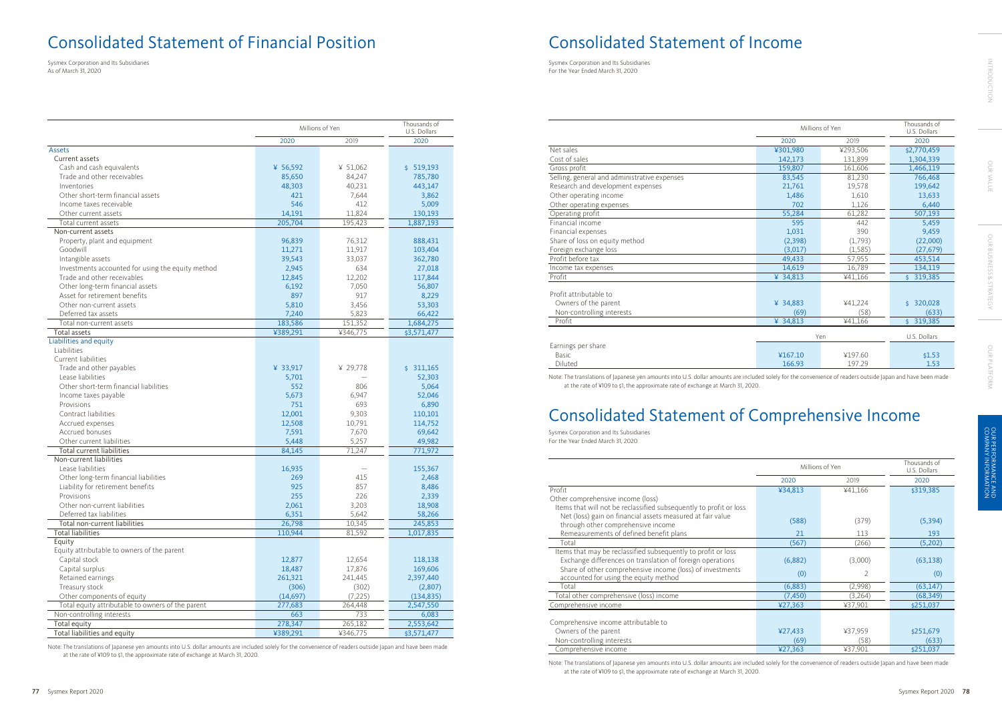|                                                   |           | Millions of Yen | Thousands of<br>U.S. Dollars |
|---------------------------------------------------|-----------|-----------------|------------------------------|
|                                                   | 2020      | 2019            | 2020                         |
| <b>Assets</b>                                     |           |                 |                              |
| Current assets                                    |           |                 |                              |
| Cash and cash equivalents                         | ¥ 56,592  | ¥ 51,062        | \$519,193                    |
| Trade and other receivables                       | 85,650    | 84,247          | 785,780                      |
| Inventories                                       | 48,303    | 40,231          | 443,147                      |
| Other short-term financial assets                 | 421       | 7,644           | 3,862                        |
| Income taxes receivable                           | 546       | 412             | 5,009                        |
| Other current assets                              | 14,191    | 11,824          | 130,193                      |
| Total current assets                              | 205,704   | 195,423         | 1,887,193                    |
| Non-current assets                                |           |                 |                              |
| Property, plant and equipment                     | 96,839    | 76,312          | 888,431                      |
| Goodwill                                          | 11,271    | 11,917          | 103,404                      |
| Intangible assets                                 | 39,543    | 33,037          | 362,780                      |
| Investments accounted for using the equity method | 2,945     | 634             | 27,018                       |
| Trade and other receivables                       | 12,845    | 12,202          | 117,844                      |
| Other long-term financial assets                  | 6,192     | 7,050           | 56,807                       |
| Asset for retirement benefits                     | 897       | 917             | 8,229                        |
| Other non-current assets                          | 5,810     | 3,456           | 53,303                       |
| Deferred tax assets                               | 7,240     | 5,823           | 66,422                       |
| Total non-current assets                          | 183,586   | 151,352         | 1,684,275                    |
| Total assets                                      | ¥389,291  | ¥346,775        | \$3,571,477                  |
| Liabilities and equity                            |           |                 |                              |
| Liabilities                                       |           |                 |                              |
| Current liabilities                               |           |                 |                              |
| Trade and other payables                          | ¥ 33,917  | ¥ 29,778        | \$311,165                    |
| Lease liabilities                                 | 5,701     |                 | 52,303                       |
| Other short-term financial liabilities            | 552       | 806             | 5,064                        |
| Income taxes payable                              | 5,673     | 6,947           | 52,046                       |
| Provisions                                        | 751       | 693             | 6,890                        |
| Contract liabilities                              | 12,001    | 9,303           | 110,101                      |
| Accrued expenses                                  | 12,508    | 10,791          | 114,752                      |
| Accrued bonuses                                   | 7,591     | 7,670           | 69,642                       |
| Other current liabilities                         | 5,448     | 5,257           | 49,982                       |
| Total current liabilities                         | 84,145    | 71,247          | 771,972                      |
| Non-current liabilities                           |           |                 |                              |
| Lease liabilities                                 | 16,935    |                 | 155,367                      |
| Other long-term financial liabilities             | 269       | 415             | 2,468                        |
| Liability for retirement benefits                 | 925       | 857             | 8,486                        |
| Provisions                                        | 255       | 226             | 2,339                        |
| Other non-current liabilities                     | 2,061     | 3,203           | 18,908                       |
| Deferred tax liabilities                          | 6,351     | 5,642           | 58,266                       |
| Total non-current liabilities                     | 26,798    | 10,345          | 245,853                      |
| <b>Total liabilities</b>                          | 110,944   | 81,592          | 1,017,835                    |
| Equity                                            |           |                 |                              |
| Equity attributable to owners of the parent       |           |                 |                              |
| Capital stock                                     | 12,877    | 12,654          | 118,138                      |
| Capital surplus                                   | 18,487    | 17,876          | 169,606                      |
| Retained earnings                                 | 261,321   | 241,445         | 2,397,440                    |
| Treasury stock                                    | (306)     | (302)           | (2,807)                      |
| Other components of equity                        | (14, 697) | (7, 225)        | (134, 835)                   |
| Total equity attributable to owners of the parent | 277,683   | 264,448         | 2,547,550                    |
| Non-controlling interests                         | 663       | 733             | 6,083                        |
| Total equity                                      | 278,347   | 265,182         | 2,553,642                    |
| Total liabilities and equity                      | ¥389,291  | ¥346,775        | \$3,571,477                  |

Note: The translations of Japanese yen amounts into U.S. dollar amounts are included solely for the convenience of readers outside Japan and have been made at the rate of ¥109 to \$1, the approximate rate of exchange at March 31, 2020.

|                                              |          | Millions of Yen | Thousands of<br>U.S. Dollars |
|----------------------------------------------|----------|-----------------|------------------------------|
|                                              | 2020     | 2019            | 2020                         |
| Net sales                                    | ¥301,980 | ¥293,506        | \$2,770,459                  |
| Cost of sales                                | 142,173  | 131,899         | 1,304,339                    |
| Gross profit                                 | 159,807  | 161,606         | 1,466,119                    |
| Selling, general and administrative expenses | 83,545   | 81,230          | 766,468                      |
| Research and development expenses            | 21,761   | 19,578          | 199,642                      |
| Other operating income                       | 1,486    | 1,610           | 13,633                       |
| Other operating expenses                     | 702      | 1.126           | 6,440                        |
| Operating profit                             | 55,284   | 61,282          | 507,193                      |
| Financial income                             | 595      | 442             | 5,459                        |
| Financial expenses                           | 1,031    | 390             | 9,459                        |
| Share of loss on equity method               | (2,398)  | (1,793)         | (22,000)                     |
| Foreign exchange loss                        | (3,017)  | (1,585)         | (27, 679)                    |
| Profit before tax                            | 49,433   | 57,955          | 453,514                      |
| Income tax expenses                          | 14,619   | 16,789          | 134,119                      |
| Profit                                       | ¥ 34,813 | ¥41,166         | \$319,385                    |
| Profit attributable to                       |          |                 |                              |
| Owners of the parent                         | ¥ 34,883 | ¥41,224         | 320,028<br>Ś.                |
| Non-controlling interests                    | (69)     | (58)            | (633)                        |
| Profit                                       | ¥ 34,813 | ¥41,166         | \$319,385                    |
|                                              |          | Yen             | U.S. Dollars                 |
| Earnings per share                           |          |                 |                              |
| Basic                                        | ¥167.10  | ¥197.60         | \$1.53                       |
| Diluted                                      | 166.93   | 197.29          | 1.53                         |

Note: The translations of Japanese yen amounts into U.S. dollar amounts are included solely for the convenience of readers outside Japan and have been made at the rate of ¥109 to \$1, the approximate rate of exchange at March 31, 2020.

|                                                                    |          | Millions of Yen | Thousands of<br>U.S. Dollars |
|--------------------------------------------------------------------|----------|-----------------|------------------------------|
|                                                                    | 2020     | 2019            | 2020                         |
| Profit                                                             | ¥34,813  | ¥41,166         | \$319,385                    |
| Other comprehensive income (loss)                                  |          |                 |                              |
| Items that will not be reclassified subsequently to profit or loss |          |                 |                              |
| Net (loss) gain on financial assets measured at fair value         | (588)    | (379)           | (5, 394)                     |
| through other comprehensive income                                 |          |                 |                              |
| Remeasurements of defined benefit plans                            | 21       | 113             | 193                          |
| Total                                                              | (567)    | (266)           | (5,202)                      |
| Items that may be reclassified subsequently to profit or loss      |          |                 |                              |
| Exchange differences on translation of foreign operations          | (6,882)  | (3,000)         | (63, 138)                    |
| Share of other comprehensive income (loss) of investments          | (0)      | 2               | (0)                          |
| accounted for using the equity method                              |          |                 |                              |
| Total                                                              | (6,883)  | (2,998)         | (63, 147)                    |
| Total other comprehensive (loss) income                            | (7, 450) | (3,264)         | (68, 349)                    |
| Comprehensive income                                               | 427,363  | ¥37,901         | \$251,037                    |
|                                                                    |          |                 |                              |
| Comprehensive income attributable to                               |          |                 |                              |
| Owners of the parent                                               | ¥27,433  | ¥37,959         | \$251,679                    |
| Non-controlling interests                                          | (69)     | (58)            | (633)                        |
| Comprehensive income                                               | 427,363  | ¥37,901         | \$251,037                    |

Note: The translations of Japanese yen amounts into U.S. dollar amounts are included solely for the convenience of readers outside Japan and have been made at the rate of ¥109 to \$1, the approximate rate of exchange at March 31, 2020.

# Consolidated Statement of Financial Position Consolidated Statement of Income

# Consolidated Statement of Comprehensive Income

Sysmex Corporation and Its Subsidiaries As of March 31, 2020

Sysmex Corporation and Its Subsidiaries For the Year Ended March 31, 2020

Sysmex Corporation and Its Subsidiaries For the Year Ended March 31, 2020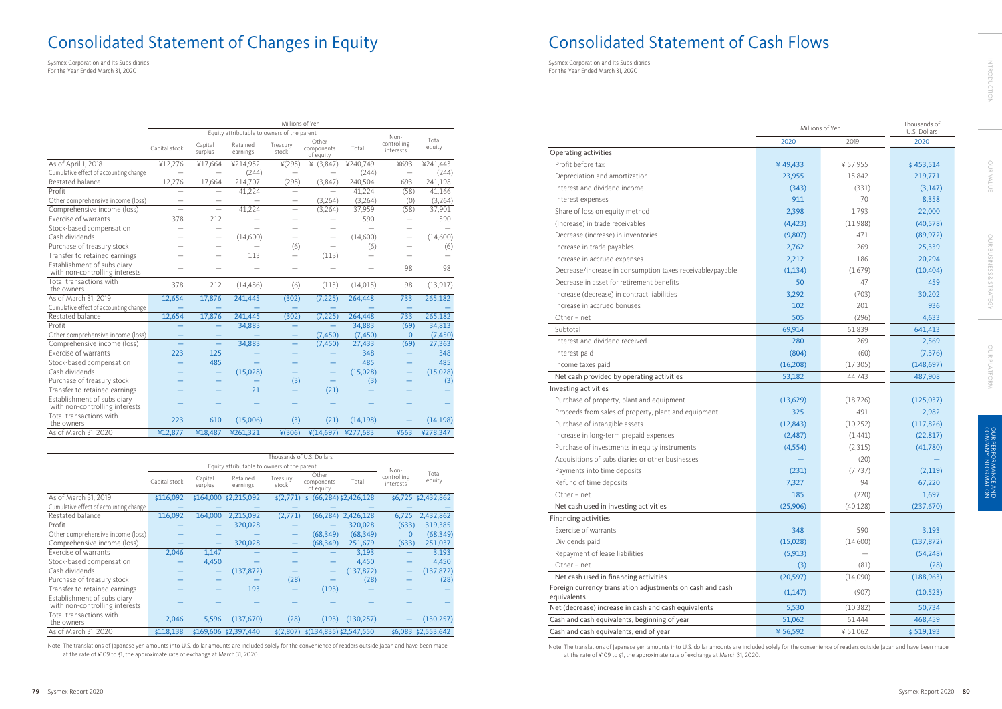|                                                               |                          | Millions of Yen                                     |                      |                          |                                  |           |                          |                 |  |
|---------------------------------------------------------------|--------------------------|-----------------------------------------------------|----------------------|--------------------------|----------------------------------|-----------|--------------------------|-----------------|--|
|                                                               |                          | Equity attributable to owners of the parent<br>Non- |                      |                          |                                  |           |                          |                 |  |
|                                                               | Capital stock            | Capital<br>surplus                                  | Retained<br>earnings | Treasury<br>stock        | Other<br>components<br>of equity | Total     | controlling<br>interests | Total<br>equity |  |
| As of April 1, 2018                                           | ¥12,276                  | ¥17,664                                             | ¥214,952             | ¥(295)                   | ¥ $(3,847)$                      | ¥240,749  | ¥693                     | ¥241,443        |  |
| Cumulative effect of accounting change                        |                          |                                                     | (244)                |                          |                                  | (244)     | $\overline{\phantom{0}}$ | (244)           |  |
| Restated balance                                              | 12,276                   | 17,664                                              | 214,707              | (295)                    | (3,847)                          | 240,504   | 693                      | 241.198         |  |
| Profit                                                        |                          | $\overline{\phantom{0}}$                            | 41,224               | $\equiv$                 |                                  | 41,224    | (58)                     | 41,166          |  |
| Other comprehensive income (loss)                             | $\overline{\phantom{0}}$ | $\qquad \qquad -$                                   |                      |                          | (3,264)                          | (3,264)   | (0)                      | (3,264)         |  |
| Comprehensive income (loss)                                   | $\overline{\phantom{0}}$ | $\equiv$                                            | 41,224               | $\equiv$                 | (3,264)                          | 37,959    | (58)                     | 37,901          |  |
| Exercise of warrants                                          | 378                      | 212                                                 |                      | $\overline{\phantom{0}}$ |                                  | 590       | $\overline{\phantom{0}}$ | 590             |  |
| Stock-based compensation                                      |                          |                                                     |                      |                          |                                  |           |                          |                 |  |
| Cash dividends                                                |                          |                                                     | (14,600)             | $\overline{\phantom{0}}$ | $\overline{\phantom{0}}$         | (14,600)  |                          | (14,600)        |  |
| Purchase of treasury stock                                    |                          |                                                     |                      | (6)                      |                                  | (6)       |                          | (6)             |  |
| Transfer to retained earnings                                 |                          |                                                     | 113                  |                          | (113)                            |           |                          |                 |  |
| Establishment of subsidiary<br>with non-controlling interests |                          |                                                     |                      |                          |                                  |           | 98                       | 98              |  |
| Total transactions with<br>the owners                         | 378                      | 212                                                 | (14, 486)            | (6)                      | (113)                            | (14, 015) | 98                       | (13, 917)       |  |
| As of March 31, 2019                                          | 12,654                   | 17,876                                              | 241,445              | (302)                    | (7, 225)                         | 264,448   | 733                      | 265,182         |  |
| Cumulative effect of accounting change                        |                          |                                                     |                      |                          |                                  |           |                          |                 |  |
| Restated balance                                              | 12,654                   | 17,876                                              | 241,445              | (302)                    | (7, 225)                         | 264,448   | 733                      | 265,182         |  |
| Profit                                                        |                          |                                                     | 34,883               |                          |                                  | 34,883    | (69)                     | 34,813          |  |
| Other comprehensive income (loss)                             |                          |                                                     |                      |                          | (7, 450)                         | (7, 450)  | $\Omega$                 | (7, 450)        |  |
| Comprehensive income (loss)                                   |                          | $\equiv$                                            | 34,883               | -                        | (7, 450)                         | 27,433    | (69)                     | 27,363          |  |
| Exercise of warrants                                          | 223                      | 125                                                 |                      |                          |                                  | 348       |                          | 348             |  |
| Stock-based compensation                                      |                          | 485                                                 |                      |                          |                                  | 485       |                          | 485             |  |
| Cash dividends                                                |                          |                                                     | (15,028)             |                          |                                  | (15,028)  |                          | (15,028)        |  |
| Purchase of treasury stock                                    |                          |                                                     |                      | (3)                      |                                  | (3)       |                          | (3)             |  |
| Transfer to retained earnings                                 |                          |                                                     | 21                   |                          | (21)                             |           |                          |                 |  |
| Establishment of subsidiary<br>with non-controlling interests |                          |                                                     |                      |                          |                                  |           |                          |                 |  |
| Total transactions with<br>the owners                         | 223                      | 610                                                 | (15,006)             | (3)                      | (21)                             | (14, 198) |                          | (14, 198)       |  |
| As of March 31, 2020                                          | ¥12,877                  | ¥18,487                                             | ¥261,321             | ¥(306)                   | 4(14,697)                        | ¥277,683  | ¥663                     | ¥278,347        |  |

Note: The translations of Japanese yen amounts into U.S. dollar amounts are included solely for the convenience of readers outside Japan and have been made at the rate of ¥109 to \$1, the approximate rate of exchange at March 31, 2020.

|                                                               |               |                    |                                             | Thousands of U.S. Dollars |                                  |            |                          |                     |
|---------------------------------------------------------------|---------------|--------------------|---------------------------------------------|---------------------------|----------------------------------|------------|--------------------------|---------------------|
|                                                               |               |                    | Equity attributable to owners of the parent |                           |                                  |            | Non-                     |                     |
|                                                               | Capital stock | Capital<br>surplus | Retained<br>earnings                        | Treasury<br>stock         | Other<br>components<br>of equity | Total      | controlling<br>interests | Total<br>equity     |
| As of March 31, 2019                                          | \$116,092     |                    | \$164,000 \$2,215,092                       | $\zeta(2,771)$            | $$$ (66,284) $$2,426,128$        |            |                          | \$6,725 \$2,432,862 |
| Cumulative effect of accounting change                        |               |                    |                                             |                           |                                  |            |                          |                     |
| Restated balance                                              | 116,092       | 164,000            | 2,215,092                                   | (2,771)                   | (66, 284)                        | 2,426,128  | 6,725                    | 2,432,862           |
| Profit                                                        |               |                    | 320,028                                     |                           |                                  | 320,028    | (633)                    | 319,385             |
| Other comprehensive income (loss)                             |               |                    |                                             |                           | (68, 349)                        | (68, 349)  | 0                        | (68, 349)           |
| Comprehensive income (loss)                                   |               |                    | 320,028                                     |                           | (68, 349)                        | 251,679    | (633)                    | 251,037             |
| Exercise of warrants                                          | 2,046         | 1,147              |                                             |                           |                                  | 3,193      |                          | 3,193               |
| Stock-based compensation                                      |               | 4,450              |                                             |                           |                                  | 4,450      |                          | 4,450               |
| Cash dividends                                                |               |                    | (137, 872)                                  |                           |                                  | (137, 872) |                          | (137, 872)          |
| Purchase of treasury stock                                    |               |                    |                                             | (28)                      |                                  | (28)       |                          | (28)                |
| Transfer to retained earnings                                 |               |                    | 193                                         |                           | (193)                            |            |                          |                     |
| Establishment of subsidiary<br>with non-controlling interests |               |                    |                                             |                           |                                  |            |                          |                     |
| Total transactions with<br>the owners                         | 2,046         | 5,596              | (137,670)                                   | (28)                      | (193)                            | (130, 257) |                          | (130, 257)          |
| As of March 31, 2020                                          | \$118,138     |                    | \$169,606 \$2,397,440                       | $\frac{\xi(2,807)}{}$     | $\frac{2}{134,835}$ \$2,547,550  |            |                          | \$6,083 \$2,553,642 |

|                                                                          | Millions of Yen | Thousands of<br>U.S. Dollars |            |
|--------------------------------------------------------------------------|-----------------|------------------------------|------------|
|                                                                          | 2020            | 2019                         | 2020       |
| Operating activities                                                     |                 |                              |            |
| Profit before tax                                                        | ¥49,433         | ¥ 57,955                     | \$453,514  |
| Depreciation and amortization                                            | 23,955          | 15,842                       | 219,771    |
| Interest and dividend income                                             | (343)           | (331)                        | (3, 147)   |
| Interest expenses                                                        | 911             | 70                           | 8,358      |
| Share of loss on equity method                                           | 2,398           | 1,793                        | 22,000     |
| (Increase) in trade receivables                                          | (4, 423)        | (11,988)                     | (40, 578)  |
| Decrease (increase) in inventories                                       | (9,807)         | 471                          | (89, 972)  |
| Increase in trade payables                                               | 2,762           | 269                          | 25,339     |
| Increase in accrued expenses                                             | 2,212           | 186                          | 20,294     |
| Decrease/increase in consumption taxes receivable/payable                | (1, 134)        | (1,679)                      | (10, 404)  |
| Decrease in asset for retirement benefits                                | 50              | 47                           | 459        |
| Increase (decrease) in contract liabilities                              | 3,292           | (703)                        | 30,202     |
| Increase in accrued bonuses                                              | 102             | 201                          | 936        |
| Other - net                                                              | 505             | (296)                        | 4,633      |
| Subtotal                                                                 | 69,914          | 61,839                       | 641,413    |
| Interest and dividend received                                           | 280             | 269                          | 2,569      |
| Interest paid                                                            | (804)           | (60)                         | (7, 376)   |
| Income taxes paid                                                        | (16, 208)       | (17, 305)                    | (148, 697) |
| Net cash provided by operating activities                                | 53,182          | 44,743                       | 487,908    |
| Investing activities                                                     |                 |                              |            |
| Purchase of property, plant and equipment                                | (13, 629)       | (18, 726)                    | (125, 037) |
| Proceeds from sales of property, plant and equipment                     | 325             | 491                          | 2,982      |
| Purchase of intangible assets                                            | (12, 843)       | (10, 252)                    | (117, 826) |
| Increase in long-term prepaid expenses                                   | (2,487)         | (1,441)                      | (22, 817)  |
| Purchase of investments in equity instruments                            | (4, 554)        | (2,315)                      | (41,780)   |
| Acquisitions of subsidiaries or other businesses                         |                 | (20)                         |            |
| Payments into time deposits                                              | (231)           | (7, 737)                     | (2,119)    |
| Refund of time deposits                                                  | 7,327           | 94                           | 67,220     |
| Other - net                                                              | 185             | (220)                        | 1,697      |
| Net cash used in investing activities                                    | (25,906)        | (40, 128)                    | (237, 670) |
| Financing activities                                                     |                 |                              |            |
| Exercise of warrants                                                     | 348             | 590                          | 3,193      |
| Dividends paid                                                           | (15,028)        | (14,600)                     | (137, 872) |
| Repayment of lease liabilities                                           | (5, 913)        |                              | (54, 248)  |
| Other - net                                                              | (3)             | (81)                         | (28)       |
| Net cash used in financing activities                                    | (20, 597)       | (14,090)                     | (188, 963) |
| Foreign currency translation adjustments on cash and cash<br>equivalents | (1, 147)        | (907)                        | (10, 523)  |
| Net (decrease) increase in cash and cash equivalents                     | 5,530           | (10, 382)                    | 50,734     |
| Cash and cash equivalents, beginning of year                             | 51,062          | 61,444                       | 468,459    |
| Cash and cash equivalents, end of year                                   | ¥ 56,592        | ¥ 51,062                     | \$519,193  |

Note: The translations of Japanese yen amounts into U.S. dollar amounts are included solely for the convenience of readers outside Japan and have been made at the rate of ¥109 to \$1, the approximate rate of exchange at March 31, 2020.

# Consolidated Statement of Changes in Equity **Consolidated Statement of Cash Flows**

Sysmex Corporation and Its Subsidiaries For the Year Ended March 31, 2020

Sysmex Corporation and Its Subsidiaries For the Year Ended March 31, 2020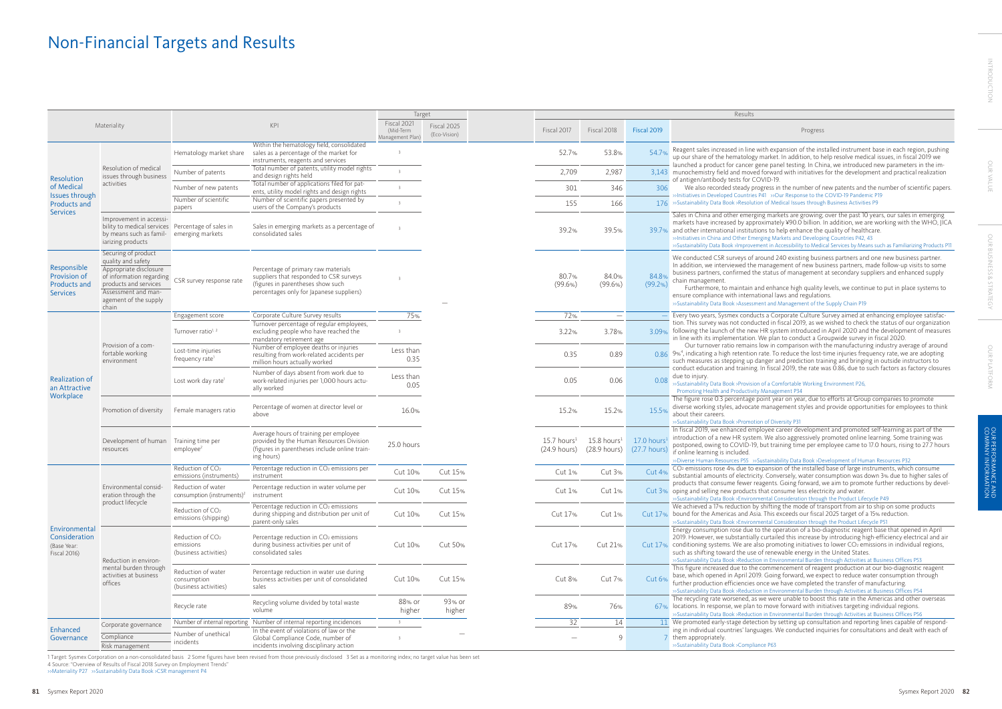|                                                                |                                                                                                                                                                                   |                                                                    |                                                                                                                                                                 | Target                                       |                             |                                           |                                                  |                              | Results                                                                                                                                                                                                                                                                                                                                                                                                                                                                                                                                                                           |
|----------------------------------------------------------------|-----------------------------------------------------------------------------------------------------------------------------------------------------------------------------------|--------------------------------------------------------------------|-----------------------------------------------------------------------------------------------------------------------------------------------------------------|----------------------------------------------|-----------------------------|-------------------------------------------|--------------------------------------------------|------------------------------|-----------------------------------------------------------------------------------------------------------------------------------------------------------------------------------------------------------------------------------------------------------------------------------------------------------------------------------------------------------------------------------------------------------------------------------------------------------------------------------------------------------------------------------------------------------------------------------|
|                                                                | Materiality                                                                                                                                                                       |                                                                    | KPI                                                                                                                                                             | Fiscal 2021<br>(Mid-Term<br>Management Plan) | Fiscal 2025<br>(Eco-Vision) | Fiscal 2017                               | Fiscal 2018                                      | Fiscal 2019                  | Progress                                                                                                                                                                                                                                                                                                                                                                                                                                                                                                                                                                          |
|                                                                |                                                                                                                                                                                   | Hematology market share                                            | Within the hematology field, consolidated<br>sales as a percentage of the market for<br>instruments, reagents and services                                      |                                              |                             | 52.7%                                     | 53.8%                                            | 54.7%                        | Reagent sales increased in line with expansion of the installed instrument base in each region, pushing<br>up our share of the hematology market. In addition, to help resolve medical issues, in fiscal 2019 we                                                                                                                                                                                                                                                                                                                                                                  |
| Resolution                                                     | Resolution of medical<br>issues through business                                                                                                                                  | Number of patents                                                  | Total number of patents, utility model rights<br>and design rights held                                                                                         |                                              |                             | 2,709                                     | 2,987                                            |                              | launched a product for cancer gene panel testing. In China, we introduced new parameters in the im-<br>3,143 munochemistry field and moved forward with initiatives for the development and practical realization<br>of antigen/antibody tests for COVID-19.                                                                                                                                                                                                                                                                                                                      |
| of Medical                                                     | activities                                                                                                                                                                        | Number of new patents                                              | Total number of applications filed for pat-<br>ents, utility model rights and design rights                                                                     |                                              |                             | 301                                       | 346                                              | 306                          | We also recorded steady progress in the number of new patents and the number of scientific paper                                                                                                                                                                                                                                                                                                                                                                                                                                                                                  |
| Issues through<br><b>Products and</b>                          |                                                                                                                                                                                   | Number of scientific<br>papers                                     | Number of scientific papers presented by<br>users of the Company's products                                                                                     |                                              |                             | 155                                       | 166                                              |                              | >>Initiatives in Developed Countries P41 >>Our Response to the COVID-19 Pandemic P19<br>176 >>Sustainability Data Book >Resolution of Medical Issues through Business Activities P9                                                                                                                                                                                                                                                                                                                                                                                               |
| <b>Services</b>                                                | Improvement in accessi-<br>bility to medical services Percentage of sales in<br>by means such as famil- emerging markets<br>iarizing products                                     |                                                                    | Sales in emerging markets as a percentage of<br>consolidated sales                                                                                              |                                              |                             | 39.2%                                     | 39.5%                                            |                              | Sales in China and other emerging markets are growing; over the past 10 years, our sales in emerging<br>markets have increased by approximately ¥90.0 billion. In addition, we are working with the WHO, JIC.<br>39.7% and other international institutions to help enhance the quality of healthcare.<br>»Initiatives in China and Other Emerging Markets and Developing Countries P42, 43<br>>>Sustainability Data Book >Improvement in Accessibility to Medical Services by Means such as Familiarizing Products P                                                             |
| Responsible<br>Provision of<br><b>Products and</b><br>Services | Securing of product<br>quality and safety<br>Appropriate disclosure<br>of information regarding<br>products and services<br>Assessment and man-<br>agement of the supply<br>chain | CSR survey response rate                                           | Percentage of primary raw materials<br>suppliers that responded to CSR surveys<br>(figures in parentheses show such<br>percentages only for Japanese suppliers) |                                              |                             | 80.7%<br>(99.6% )                         | 84.0%<br>(99.6%)                                 | 84.8%<br>(99.2%)             | We conducted CSR surveys of around 240 existing business partners and one new business partner.<br>In addition, we interviewed the management of new business partners, made follow-up visits to some<br>business partners, confirmed the status of management at secondary suppliers and enhanced supply<br>chain management.<br>Furthermore, to maintain and enhance high quality levels, we continue to put in place systems to<br>ensure compliance with international laws and regulations.<br>>>Sustainability Data Book >Assessment and Management of the Supply Chain P19 |
|                                                                |                                                                                                                                                                                   | Engagement score                                                   | Corporate Culture Survey results                                                                                                                                | 75%                                          |                             | 72%                                       |                                                  |                              | Every two years, Sysmex conducts a Corporate Culture Survey aimed at enhancing employee satisfac-                                                                                                                                                                                                                                                                                                                                                                                                                                                                                 |
|                                                                |                                                                                                                                                                                   | Turnover ratio <sup>1, 2</sup>                                     | Turnover percentage of regular employees,<br>excluding people who have reached the<br>mandatory retirement age                                                  |                                              |                             | 3.22%                                     | 3.78%                                            |                              | tion. This survey was not conducted in fiscal 2019, as we wished to check the status of our organization<br>3.09% following the launch of the new HR system introduced in April 2020 and the development of measure<br>in line with its implementation. We plan to conduct a Groupwide survey in fiscal 2020.                                                                                                                                                                                                                                                                     |
|                                                                | Provision of a com-<br>fortable working<br>environment                                                                                                                            | Lost-time injuries<br>frequency rate                               | Number of employee deaths or injuries<br>resulting from work-related accidents per<br>million hours actually worked                                             | Less than<br>0.35                            |                             | 0.35                                      | 0.89                                             |                              | Our turnover ratio remains low in comparison with the manufacturing industry average of around<br>0.86 9% <sup>4</sup> , indicating a high retention rate. To reduce the lost-time injuries frequency rate, we are adopting<br>such measures as stepping up danger and prediction training and bringing in outside instructors to                                                                                                                                                                                                                                                 |
| <b>Realization of</b><br>an Attractive                         |                                                                                                                                                                                   | Lost work day rate <sup>1</sup>                                    | Number of days absent from work due to<br>work-related injuries per 1,000 hours actu-<br>ally worked                                                            | Less than<br>0.05                            |                             | 0.05                                      | 0.06                                             | 0.08                         | conduct education and training. In fiscal 2019, the rate was 0.86, due to such factors as factory closure<br>due to injury<br>»Sustainability Data Book »Provision of a Comfortable Working Environment P26,<br>Promoting Health and Productivity Management P34                                                                                                                                                                                                                                                                                                                  |
| Workplace                                                      | Promotion of diversity                                                                                                                                                            | Female managers ratio                                              | Percentage of women at director level or<br>above                                                                                                               | 16.0%                                        |                             | 15.2%                                     | 15.2%                                            | 15.5%                        | The figure rose 0.3 percentage point year on year, due to efforts at Group companies to promote<br>diverse working styles, advocate management styles and provide opportunities for employees to think<br>about their careers.<br>>>Sustainability Data Book >Promotion of Diversity P31                                                                                                                                                                                                                                                                                          |
|                                                                | Development of human<br>resources                                                                                                                                                 | Training time per<br>employee <sup>2</sup>                         | Average hours of training per employee<br>provided by the Human Resources Division<br>(figures in parentheses include online train-<br>ing hours)               | 25.0 hours                                   |                             | $15.7$ hours <sup>1</sup><br>(24.9 hours) | $15.8 \text{ hours}^1$<br>$(28.9 \text{ hours})$ | 17.0 hours<br>$(27.7$ hours) | In fiscal 2019, we enhanced employee career development and promoted self-learning as part of the<br>introduction of a new HR system. We also aggressively promoted online learning. Some training was<br>postponed, owing to COVID-19, but training time per employee came to 17.0 hours, rising to 27.7 hours<br>if online learning is included.<br>>>Diverse Human Resources P55 >>Sustainability Data Book >Development of Human Resources P32                                                                                                                                |
|                                                                |                                                                                                                                                                                   | Reduction of CO <sub>2</sub><br>emissions (instruments)            | Percentage reduction in CO <sub>2</sub> emissions per<br>instrument                                                                                             | Cut 10%                                      | Cut 15%                     | Cut 1%                                    | Cut 3%                                           | Cut 4 <sub>%</sub>           | CO <sub>2</sub> emissions rose 4% due to expansion of the installed base of large instruments, which consume<br>substantial amounts of electricity. Conversely, water consumption was down 3% due to higher sales of                                                                                                                                                                                                                                                                                                                                                              |
|                                                                | Environmental consid-<br>eration through the                                                                                                                                      | Reduction of water<br>consumption (instruments) <sup>2</sup>       | Percentage reduction in water volume per<br>instrument                                                                                                          | Cut 10%                                      | Cut 15%                     | Cut 1%                                    | Cut 1%                                           |                              | products that consume fewer reagents. Going forward, we aim to promote further reductions by devel<br>Cut 3% oping and selling new products that consume less electricity and water.<br>>>Sustainability Data Book >Environmental Consideration through the Product Lifecycle P49                                                                                                                                                                                                                                                                                                 |
|                                                                | product lifecycle                                                                                                                                                                 | Reduction of $CO2$<br>emissions (shipping)                         | Percentage reduction in CO <sub>2</sub> emissions<br>during shipping and distribution per unit of<br>parent-only sales                                          | Cut 10%                                      | Cut 15%                     | Cut 17%                                   | Cut $1\%$                                        |                              | We achieved a 17% reduction by shifting the mode of transport from air to ship on some products<br>Cut 17% bound for the Americas and Asia. This exceeds our fiscal 2025 target of a 15% reduction.<br>>>Sustainability Data Book >Environmental Consideration through the Product Lifecycle P51                                                                                                                                                                                                                                                                                  |
| Environmental<br>Consideration<br>(Base Year:<br>Fiscal 2016)  | Reduction in environ-                                                                                                                                                             | Reduction of CO <sub>2</sub><br>emissions<br>(business activities) | Percentage reduction in CO <sub>2</sub> emissions<br>during business activities per unit of<br>consolidated sales                                               | Cut 10%                                      | Cut 50%                     | Cut 17%                                   | Cut 21%                                          |                              | Energy consumption rose due to the operation of a bio-diagnostic reagent base that opened in April<br>2019. However, we substantially curtailed this increase by introducing high-efficiency electrical and air<br>Cut 17% conditioning systems. We are also promoting initiatives to lower CO2 emissions in individual regions,<br>such as shifting toward the use of renewable energy in the United States.<br>»Sustainability Data Book »Reduction in Environmental Burden through Activities at Business Offices P53                                                          |
|                                                                | mental burden through<br>activities at business<br>offices                                                                                                                        | Reduction of water<br>consumption<br>(business activities)         | Percentage reduction in water use during<br>business activities per unit of consolidated<br>sales                                                               | Cut 10%                                      | Cut 15%                     | Cut 8%                                    | Cut 7%                                           | Cut 6%                       | This figure increased due to the commencement of reagent production at our bio-diagnostic reagent<br>base, which opened in April 2019. Going forward, we expect to reduce water consumption through<br>further production efficiencies once we have completed the transfer of manufacturing.<br>>>Sustainability Data Book >Reduction in Environmental Burden through Activities at Business Offices P54                                                                                                                                                                          |
|                                                                |                                                                                                                                                                                   | Recycle rate                                                       | Recycling volume divided by total waste<br>volume                                                                                                               | 88% or<br>higher                             | 93% or<br>higher            | 89%                                       | 76%                                              |                              | The recycling rate worsened, as we were unable to boost this rate in the Americas and other overseas<br>67% locations. In response, we plan to move forward with initiatives targeting individual regions.<br>»Sustainability Data Book »Reduction in Environmental Burden through Activities at Business Offices P56                                                                                                                                                                                                                                                             |
|                                                                | Corporate governance                                                                                                                                                              | Number of internal reporting                                       | Number of internal reporting incidences                                                                                                                         | $3 -$                                        |                             | 32                                        | 14                                               |                              | 11 We promoted early-stage detection by setting up consultation and reporting lines capable of respond-                                                                                                                                                                                                                                                                                                                                                                                                                                                                           |
| <b>Enhanced</b><br>Governance                                  | Compliance                                                                                                                                                                        | Number of unethical<br>incidents                                   | In the event of violations of law or the<br>Global Compliance Code, number of                                                                                   |                                              |                             |                                           | 9                                                |                              | ing in individual countries' languages. We conducted inquiries for consultations and dealt with each of<br>them appropriately.                                                                                                                                                                                                                                                                                                                                                                                                                                                    |
|                                                                | Risk management                                                                                                                                                                   |                                                                    | incidents involving disciplinary action                                                                                                                         |                                              |                             |                                           |                                                  |                              | >>Sustainability Data Book >Compliance P63                                                                                                                                                                                                                                                                                                                                                                                                                                                                                                                                        |

1 Target: Sysmex Corporation on a non-consolidated basis 2 Some figures have been revised from those previously disclosed 3 Set as a monitoring index; no target value has been set 4 Source: "Overview of Results of Fiscal 2018 Survey on Employment Trends" >>Materiality P27 >>Sustainability Data Book >CSR management P4

# Non-Financial Targets and Results